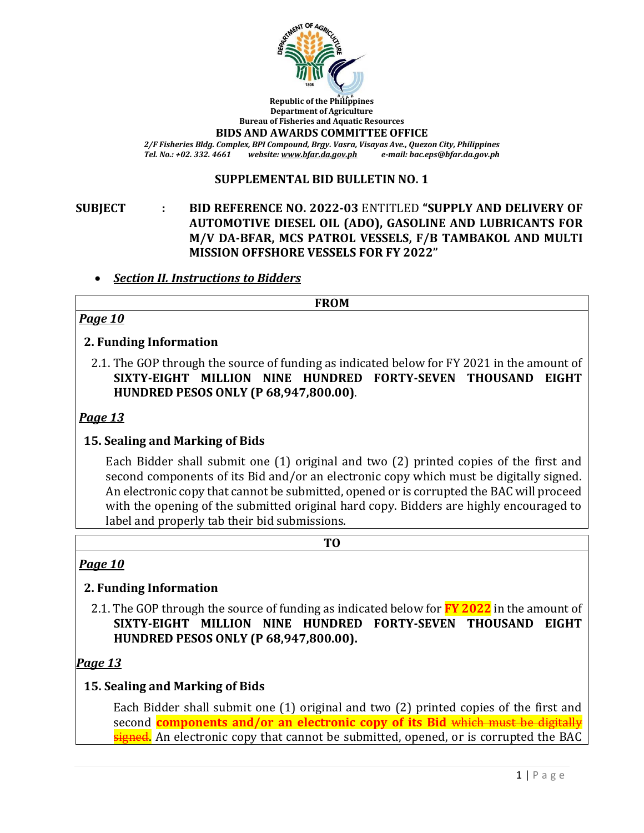

**Republic of the Philippines Department of Agriculture Bureau of Fisheries and Aquatic Resources**

**BIDS AND AWARDS COMMITTEE OFFICE**

*2/F Fisheries Bldg. Complex, BPI Compound, Brgy. Vasra, Visayas Ave., Quezon City, Philippines Tel. No.: +02. 332. 4661 website[: www.bfar.da.gov.ph](http://www.bfar.da.gov.ph/) e-mail: bac.eps@bfar.da.gov.ph*

## **SUPPLEMENTAL BID BULLETIN NO. 1**

# **SUBJECT : BID REFERENCE NO. 2022-03** ENTITLED **"SUPPLY AND DELIVERY OF AUTOMOTIVE DIESEL OIL (ADO), GASOLINE AND LUBRICANTS FOR M/V DA-BFAR, MCS PATROL VESSELS, F/B TAMBAKOL AND MULTI MISSION OFFSHORE VESSELS FOR FY 2022"**

## *Section II. Instructions to Bidders*

**FROM**

# *Page 10*

### **2. Funding Information**

2.1. The GOP through the source of funding as indicated below for FY 2021 in the amount of **SIXTY-EIGHT MILLION NINE HUNDRED FORTY-SEVEN THOUSAND EIGHT HUNDRED PESOS ONLY (P 68,947,800.00)**.

### *Page 13*

### **15. Sealing and Marking of Bids**

Each Bidder shall submit one (1) original and two (2) printed copies of the first and second components of its Bid and/or an electronic copy which must be digitally signed. An electronic copy that cannot be submitted, opened or is corrupted the BAC will proceed with the opening of the submitted original hard copy. Bidders are highly encouraged to label and properly tab their bid submissions.

**TO**

### *Page 10*

# **2. Funding Information**

2.1. The GOP through the source of funding as indicated below for **FY 2022** in the amount of **SIXTY-EIGHT MILLION NINE HUNDRED FORTY-SEVEN THOUSAND EIGHT HUNDRED PESOS ONLY (P 68,947,800.00).**

### *Page 13*

# **15. Sealing and Marking of Bids**

Each Bidder shall submit one (1) original and two (2) printed copies of the first and second **components and/or an electronic copy of its Bid** which must b signed. An electronic copy that cannot be submitted, opened, or is corrupted the BAC